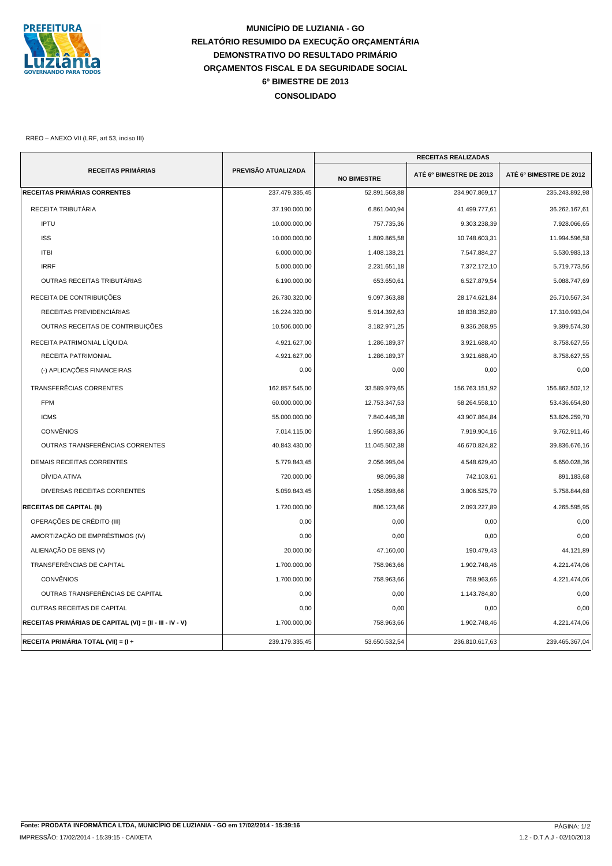

## **MUNICÍPIO DE LUZIANIA - GO RELATÓRIO RESUMIDO DA EXECUÇÃO ORÇAMENTÁRIA DEMONSTRATIVO DO RESULTADO PRIMÁRIO ORÇAMENTOS FISCAL E DA SEGURIDADE SOCIAL CONSOLIDADO 6º BIMESTRE DE 2013**

RREO – ANEXO VII (LRF, art 53, inciso III)

|                                                          |                     |                    | <b>RECEITAS REALIZADAS</b> |                         |
|----------------------------------------------------------|---------------------|--------------------|----------------------------|-------------------------|
| <b>RECEITAS PRIMÁRIAS</b>                                | PREVISÃO ATUALIZADA | <b>NO BIMESTRE</b> | ATÉ 6º BIMESTRE DE 2013    | ATÉ 6º BIMESTRE DE 2012 |
| <b>RECEITAS PRIMÁRIAS CORRENTES</b>                      | 237.479.335,45      | 52.891.568,88      | 234.907.869,17             | 235.243.892,98          |
| RECEITA TRIBUTÁRIA                                       | 37.190.000,00       | 6.861.040,94       | 41.499.777,61              | 36.262.167,61           |
| <b>IPTU</b>                                              | 10.000.000,00       | 757.735,36         | 9.303.238,39               | 7.928.066,65            |
| <b>ISS</b>                                               | 10.000.000,00       | 1.809.865,58       | 10.748.603,31              | 11.994.596,58           |
| <b>ITBI</b>                                              | 6.000.000,00        | 1.408.138,21       | 7.547.884,27               | 5.530.983,13            |
| <b>IRRF</b>                                              | 5.000.000,00        | 2.231.651,18       | 7.372.172,10               | 5.719.773,56            |
| OUTRAS RECEITAS TRIBUTÁRIAS                              | 6.190.000,00        | 653.650,61         | 6.527.879,54               | 5.088.747,69            |
| RECEITA DE CONTRIBUIÇÕES                                 | 26.730.320,00       | 9.097.363,88       | 28.174.621,84              | 26.710.567,34           |
| RECEITAS PREVIDENCIÁRIAS                                 | 16.224.320,00       | 5.914.392,63       | 18.838.352,89              | 17.310.993,04           |
| OUTRAS RECEITAS DE CONTRIBUIÇÕES                         | 10.506.000,00       | 3.182.971,25       | 9.336.268,95               | 9.399.574,30            |
| RECEITA PATRIMONIAL LÍQUIDA                              | 4.921.627,00        | 1.286.189,37       | 3.921.688,40               | 8.758.627,55            |
| RECEITA PATRIMONIAL                                      | 4.921.627,00        | 1.286.189,37       | 3.921.688,40               | 8.758.627,55            |
| (-) APLICAÇÕES FINANCEIRAS                               | 0,00                | 0,00               | 0,00                       | 0,00                    |
| <b>TRANSFERÊCIAS CORRENTES</b>                           | 162.857.545.00      | 33.589.979,65      | 156.763.151,92             | 156.862.502,12          |
| <b>FPM</b>                                               | 60.000.000,00       | 12.753.347,53      | 58.264.558,10              | 53.436.654,80           |
| <b>ICMS</b>                                              | 55.000.000,00       | 7.840.446,38       | 43.907.864,84              | 53.826.259,70           |
| <b>CONVÊNIOS</b>                                         | 7.014.115,00        | 1.950.683,36       | 7.919.904,16               | 9.762.911,46            |
| OUTRAS TRANSFERÊNCIAS CORRENTES                          | 40.843.430,00       | 11.045.502,38      | 46.670.824,82              | 39.836.676,16           |
| <b>DEMAIS RECEITAS CORRENTES</b>                         | 5.779.843,45        | 2.056.995,04       | 4.548.629,40               | 6.650.028,36            |
| DÍVIDA ATIVA                                             | 720.000,00          | 98.096,38          | 742.103,61                 | 891.183,68              |
| DIVERSAS RECEITAS CORRENTES                              | 5.059.843,45        | 1.958.898,66       | 3.806.525,79               | 5.758.844,68            |
| <b>RECEITAS DE CAPITAL (II)</b>                          | 1.720.000,00        | 806.123,66         | 2.093.227,89               | 4.265.595,95            |
| OPERAÇÕES DE CRÉDITO (III)                               | 0,00                | 0,00               | 0,00                       | 0,00                    |
| AMORTIZAÇÃO DE EMPRÉSTIMOS (IV)                          | 0,00                | 0,00               | 0,00                       | 0,00                    |
| ALIENAÇÃO DE BENS (V)                                    | 20.000,00           | 47.160,00          | 190.479.43                 | 44.121,89               |
| TRANSFERÊNCIAS DE CAPITAL                                | 1.700.000,00        | 758.963,66         | 1.902.748,46               | 4.221.474,06            |
| <b>CONVÊNIOS</b>                                         | 1.700.000,00        | 758.963,66         | 758.963,66                 | 4.221.474,06            |
| OUTRAS TRANSFERÊNCIAS DE CAPITAL                         | 0,00                | 0,00               | 1.143.784,80               | 0,00                    |
| OUTRAS RECEITAS DE CAPITAL                               | 0,00                | 0,00               | 0,00                       | 0,00                    |
| RECEITAS PRIMÁRIAS DE CAPITAL (VI) = (II - III - IV - V) | 1.700.000,00        | 758.963,66         | 1.902.748,46               | 4.221.474,06            |
| RECEITA PRIMÁRIA TOTAL (VII) = (I +                      | 239.179.335,45      | 53.650.532,54      | 236.810.617,63             | 239.465.367,04          |